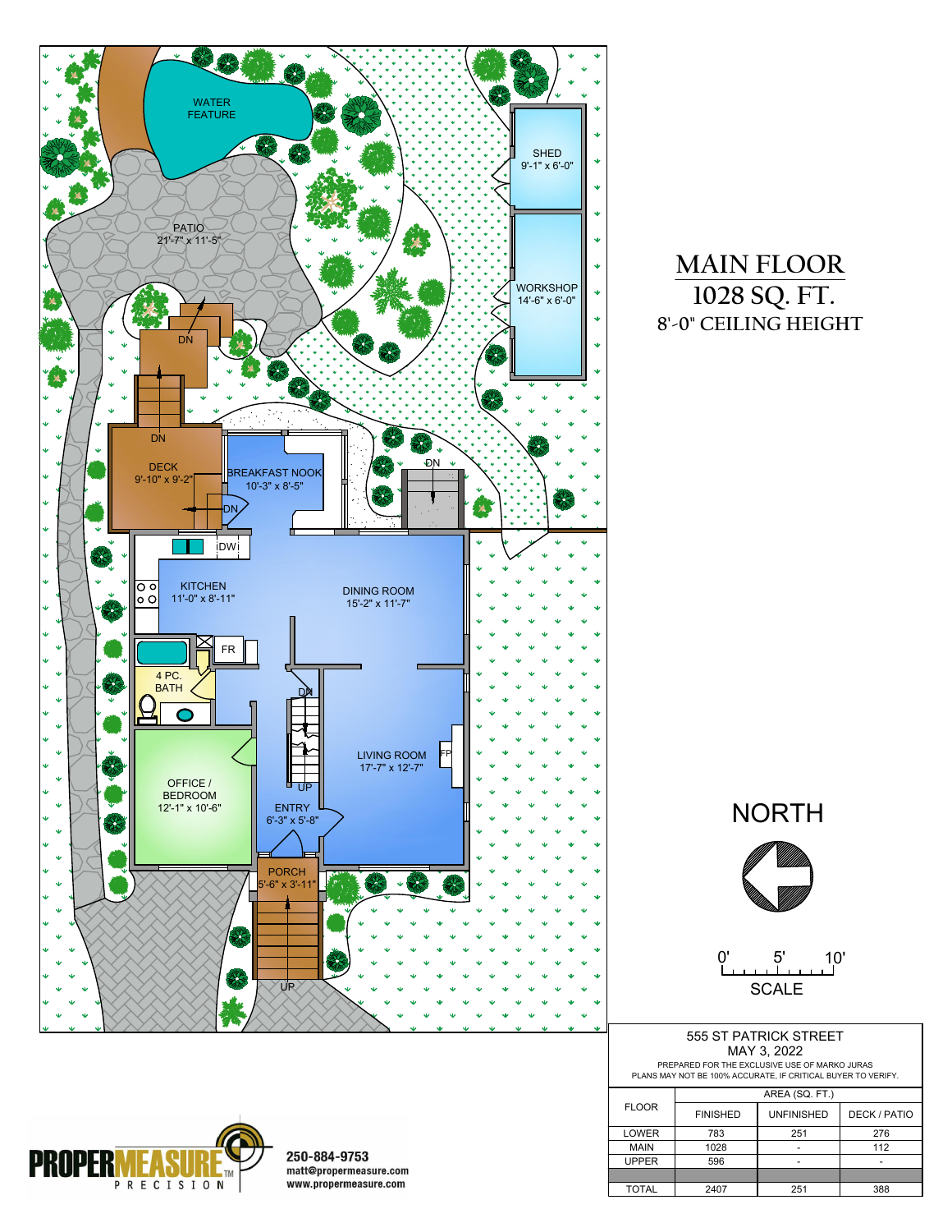

## **MAIN FLOOR 1028 SQ. FT. 8'-0" CEILING HEIGHT**



0' 5' 10' **SCALE** 

|                                                                                                               |  | 555 ST PATRICK STREET |  |  |  |  |
|---------------------------------------------------------------------------------------------------------------|--|-----------------------|--|--|--|--|
|                                                                                                               |  | MAY 3, 2022           |  |  |  |  |
| PREPARED FOR THE EXCLUSIVE USE OF MARKO JURAS<br>PLANS MAY NOT BE 100% ACCURATE, IF CRITICAL BUYER TO VERIFY. |  |                       |  |  |  |  |
|                                                                                                               |  | AREA (SQ. FT.)        |  |  |  |  |
| LOOR                                                                                                          |  |                       |  |  |  |  |

| <b>FLOOR</b> | <b>FINISHED</b> | <b>UNFINISHED</b> | DECK / PATIO             |
|--------------|-----------------|-------------------|--------------------------|
| <b>LOWER</b> | 783             | 251               | 276                      |
| <b>MAIN</b>  | 1028            |                   | 112                      |
| <b>UPPER</b> | 596             |                   | $\overline{\phantom{0}}$ |
|              |                 |                   |                          |
| <b>TOTAL</b> | 2407            | 251               | 388                      |



250-884-9753 matt@propermeasure.com www.propermeasure.com